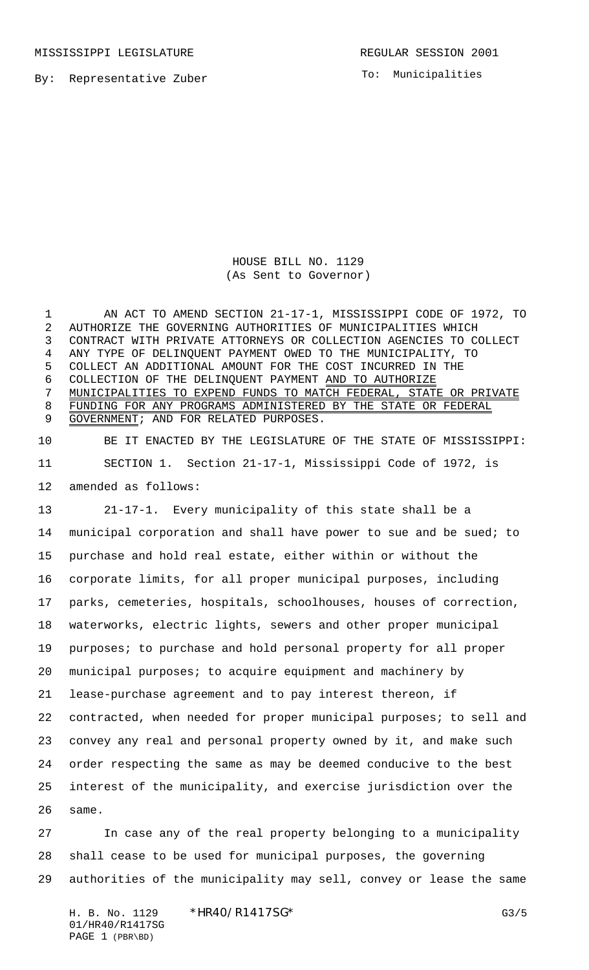MISSISSIPPI LEGISLATURE **REGULAR SESSION 2001** 

To: Municipalities

By: Representative Zuber

## HOUSE BILL NO. 1129 (As Sent to Governor)

 AN ACT TO AMEND SECTION 21-17-1, MISSISSIPPI CODE OF 1972, TO AUTHORIZE THE GOVERNING AUTHORITIES OF MUNICIPALITIES WHICH CONTRACT WITH PRIVATE ATTORNEYS OR COLLECTION AGENCIES TO COLLECT ANY TYPE OF DELINQUENT PAYMENT OWED TO THE MUNICIPALITY, TO COLLECT AN ADDITIONAL AMOUNT FOR THE COST INCURRED IN THE COLLECTION OF THE DELINQUENT PAYMENT AND TO AUTHORIZE MUNICIPALITIES TO EXPEND FUNDS TO MATCH FEDERAL, STATE OR PRIVATE FUNDING FOR ANY PROGRAMS ADMINISTERED BY THE STATE OR FEDERAL 9 GOVERNMENT; AND FOR RELATED PURPOSES.

 BE IT ENACTED BY THE LEGISLATURE OF THE STATE OF MISSISSIPPI: SECTION 1. Section 21-17-1, Mississippi Code of 1972, is amended as follows:

 21-17-1. Every municipality of this state shall be a municipal corporation and shall have power to sue and be sued; to purchase and hold real estate, either within or without the corporate limits, for all proper municipal purposes, including parks, cemeteries, hospitals, schoolhouses, houses of correction, waterworks, electric lights, sewers and other proper municipal 19 purposes; to purchase and hold personal property for all proper municipal purposes; to acquire equipment and machinery by lease-purchase agreement and to pay interest thereon, if contracted, when needed for proper municipal purposes; to sell and convey any real and personal property owned by it, and make such order respecting the same as may be deemed conducive to the best interest of the municipality, and exercise jurisdiction over the same.

 In case any of the real property belonging to a municipality shall cease to be used for municipal purposes, the governing authorities of the municipality may sell, convey or lease the same

H. B. No. 1129 \* HR40/R1417SG\* G3/5 01/HR40/R1417SG PAGE 1 (PBR\BD)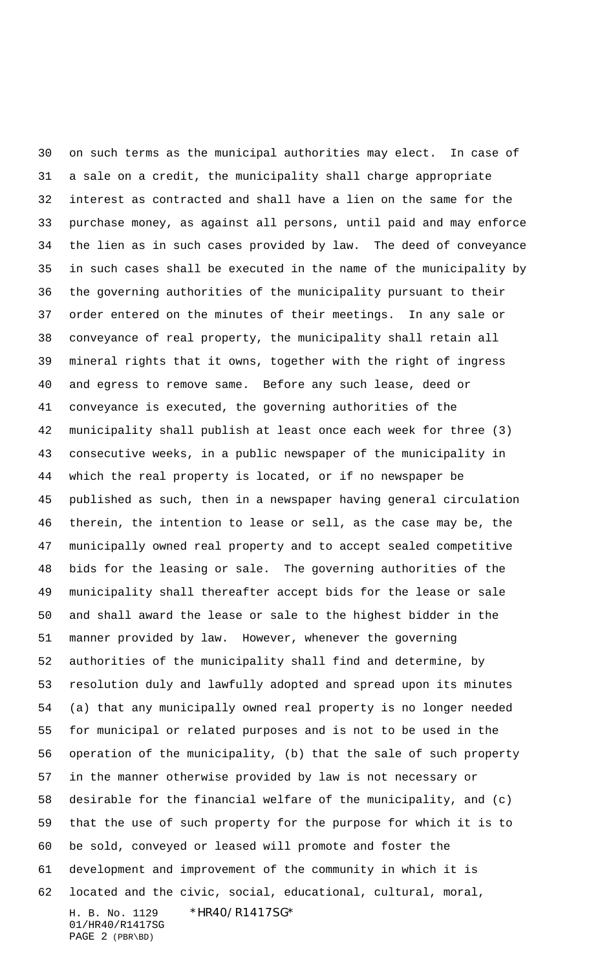H. B. No. 1129 \* HR40/R1417SG\* 01/HR40/R1417SG PAGE 2 (PBR\BD) on such terms as the municipal authorities may elect. In case of a sale on a credit, the municipality shall charge appropriate interest as contracted and shall have a lien on the same for the purchase money, as against all persons, until paid and may enforce the lien as in such cases provided by law. The deed of conveyance in such cases shall be executed in the name of the municipality by the governing authorities of the municipality pursuant to their order entered on the minutes of their meetings. In any sale or conveyance of real property, the municipality shall retain all mineral rights that it owns, together with the right of ingress and egress to remove same. Before any such lease, deed or conveyance is executed, the governing authorities of the municipality shall publish at least once each week for three (3) consecutive weeks, in a public newspaper of the municipality in which the real property is located, or if no newspaper be published as such, then in a newspaper having general circulation therein, the intention to lease or sell, as the case may be, the municipally owned real property and to accept sealed competitive bids for the leasing or sale. The governing authorities of the municipality shall thereafter accept bids for the lease or sale and shall award the lease or sale to the highest bidder in the manner provided by law. However, whenever the governing authorities of the municipality shall find and determine, by resolution duly and lawfully adopted and spread upon its minutes (a) that any municipally owned real property is no longer needed for municipal or related purposes and is not to be used in the operation of the municipality, (b) that the sale of such property in the manner otherwise provided by law is not necessary or desirable for the financial welfare of the municipality, and (c) that the use of such property for the purpose for which it is to be sold, conveyed or leased will promote and foster the development and improvement of the community in which it is located and the civic, social, educational, cultural, moral,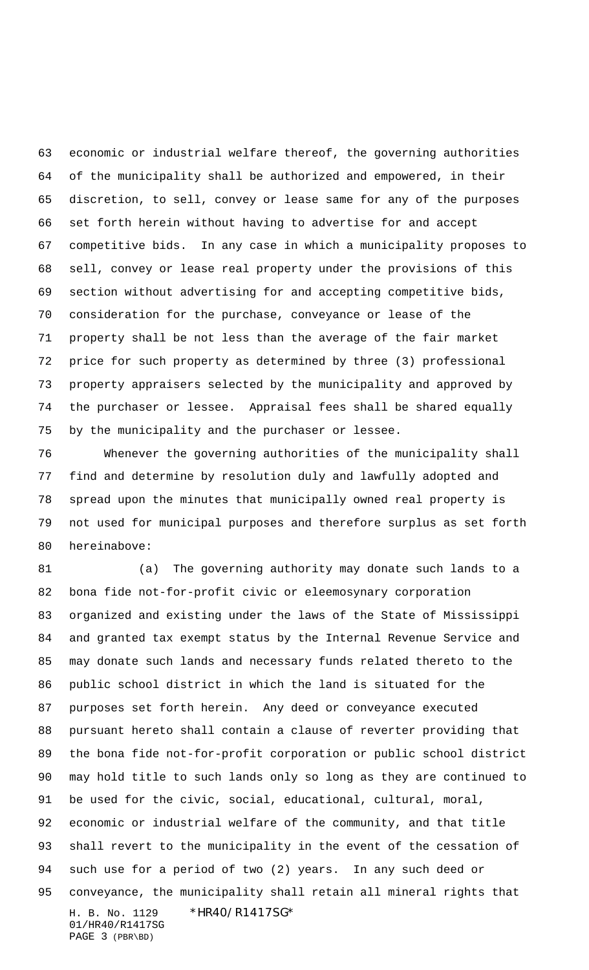economic or industrial welfare thereof, the governing authorities of the municipality shall be authorized and empowered, in their discretion, to sell, convey or lease same for any of the purposes set forth herein without having to advertise for and accept competitive bids. In any case in which a municipality proposes to sell, convey or lease real property under the provisions of this section without advertising for and accepting competitive bids, consideration for the purchase, conveyance or lease of the property shall be not less than the average of the fair market price for such property as determined by three (3) professional property appraisers selected by the municipality and approved by the purchaser or lessee. Appraisal fees shall be shared equally by the municipality and the purchaser or lessee.

 Whenever the governing authorities of the municipality shall find and determine by resolution duly and lawfully adopted and spread upon the minutes that municipally owned real property is not used for municipal purposes and therefore surplus as set forth hereinabove:

H. B. No. 1129 \*HR40/R1417SG\* 01/HR40/R1417SG PAGE 3 (PBR\BD) (a) The governing authority may donate such lands to a bona fide not-for-profit civic or eleemosynary corporation organized and existing under the laws of the State of Mississippi and granted tax exempt status by the Internal Revenue Service and may donate such lands and necessary funds related thereto to the public school district in which the land is situated for the purposes set forth herein. Any deed or conveyance executed pursuant hereto shall contain a clause of reverter providing that the bona fide not-for-profit corporation or public school district may hold title to such lands only so long as they are continued to be used for the civic, social, educational, cultural, moral, economic or industrial welfare of the community, and that title shall revert to the municipality in the event of the cessation of such use for a period of two (2) years. In any such deed or conveyance, the municipality shall retain all mineral rights that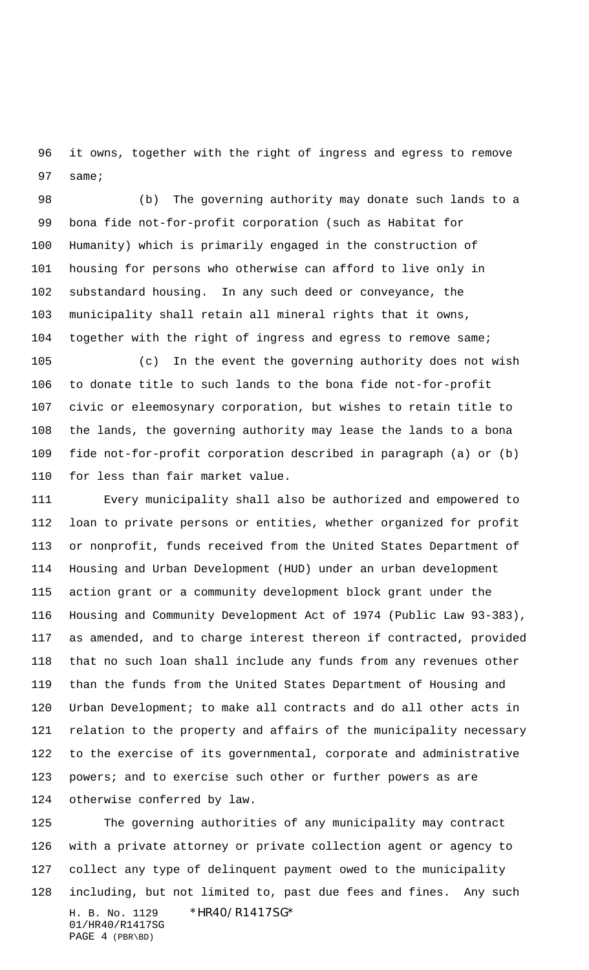it owns, together with the right of ingress and egress to remove same;

 (b) The governing authority may donate such lands to a bona fide not-for-profit corporation (such as Habitat for Humanity) which is primarily engaged in the construction of housing for persons who otherwise can afford to live only in substandard housing. In any such deed or conveyance, the municipality shall retain all mineral rights that it owns, together with the right of ingress and egress to remove same;

 (c) In the event the governing authority does not wish to donate title to such lands to the bona fide not-for-profit civic or eleemosynary corporation, but wishes to retain title to the lands, the governing authority may lease the lands to a bona fide not-for-profit corporation described in paragraph (a) or (b) for less than fair market value.

 Every municipality shall also be authorized and empowered to loan to private persons or entities, whether organized for profit or nonprofit, funds received from the United States Department of Housing and Urban Development (HUD) under an urban development action grant or a community development block grant under the Housing and Community Development Act of 1974 (Public Law 93-383), as amended, and to charge interest thereon if contracted, provided that no such loan shall include any funds from any revenues other than the funds from the United States Department of Housing and Urban Development; to make all contracts and do all other acts in relation to the property and affairs of the municipality necessary to the exercise of its governmental, corporate and administrative 123 powers; and to exercise such other or further powers as are otherwise conferred by law.

H. B. No. 1129 \* HR40/R1417SG\* 01/HR40/R1417SG PAGE 4 (PBR\BD) The governing authorities of any municipality may contract with a private attorney or private collection agent or agency to collect any type of delinquent payment owed to the municipality including, but not limited to, past due fees and fines. Any such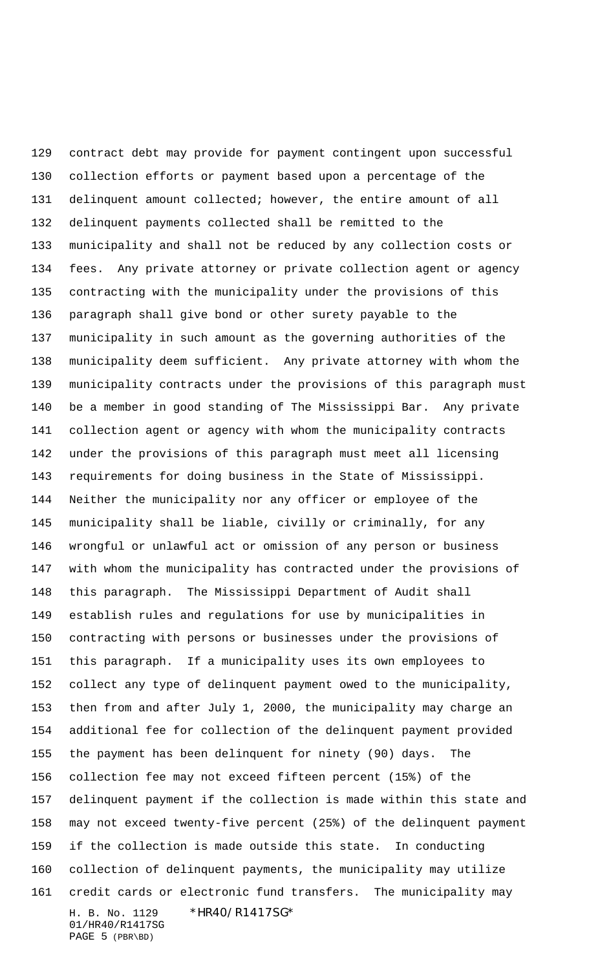H. B. No. 1129 \*HR40/R1417SG\* 01/HR40/R1417SG contract debt may provide for payment contingent upon successful collection efforts or payment based upon a percentage of the delinquent amount collected; however, the entire amount of all delinquent payments collected shall be remitted to the municipality and shall not be reduced by any collection costs or fees. Any private attorney or private collection agent or agency contracting with the municipality under the provisions of this paragraph shall give bond or other surety payable to the municipality in such amount as the governing authorities of the municipality deem sufficient. Any private attorney with whom the municipality contracts under the provisions of this paragraph must be a member in good standing of The Mississippi Bar. Any private collection agent or agency with whom the municipality contracts under the provisions of this paragraph must meet all licensing requirements for doing business in the State of Mississippi. Neither the municipality nor any officer or employee of the municipality shall be liable, civilly or criminally, for any wrongful or unlawful act or omission of any person or business with whom the municipality has contracted under the provisions of this paragraph. The Mississippi Department of Audit shall establish rules and regulations for use by municipalities in contracting with persons or businesses under the provisions of this paragraph. If a municipality uses its own employees to collect any type of delinquent payment owed to the municipality, then from and after July 1, 2000, the municipality may charge an additional fee for collection of the delinquent payment provided the payment has been delinquent for ninety (90) days. The collection fee may not exceed fifteen percent (15%) of the delinquent payment if the collection is made within this state and may not exceed twenty-five percent (25%) of the delinquent payment if the collection is made outside this state. In conducting collection of delinquent payments, the municipality may utilize credit cards or electronic fund transfers. The municipality may

PAGE 5 (PBR\BD)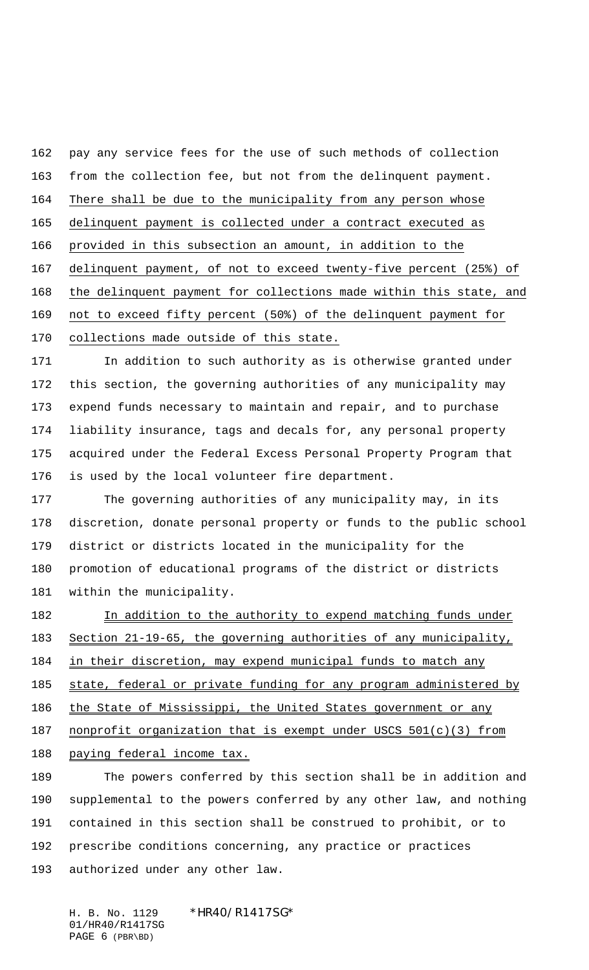pay any service fees for the use of such methods of collection from the collection fee, but not from the delinquent payment. There shall be due to the municipality from any person whose delinquent payment is collected under a contract executed as provided in this subsection an amount, in addition to the delinquent payment, of not to exceed twenty-five percent (25%) of the delinquent payment for collections made within this state, and not to exceed fifty percent (50%) of the delinquent payment for collections made outside of this state.

 In addition to such authority as is otherwise granted under this section, the governing authorities of any municipality may expend funds necessary to maintain and repair, and to purchase liability insurance, tags and decals for, any personal property acquired under the Federal Excess Personal Property Program that is used by the local volunteer fire department.

 The governing authorities of any municipality may, in its discretion, donate personal property or funds to the public school district or districts located in the municipality for the promotion of educational programs of the district or districts within the municipality.

182 In addition to the authority to expend matching funds under Section 21-19-65, the governing authorities of any municipality, 184 in their discretion, may expend municipal funds to match any 185 state, federal or private funding for any program administered by 186 the State of Mississippi, the United States government or any 187 nonprofit organization that is exempt under USCS 501(c)(3) from 188 paying federal income tax.

 The powers conferred by this section shall be in addition and supplemental to the powers conferred by any other law, and nothing contained in this section shall be construed to prohibit, or to prescribe conditions concerning, any practice or practices authorized under any other law.

H. B. No. 1129 \*HR40/R1417SG\* 01/HR40/R1417SG PAGE 6 (PBR\BD)